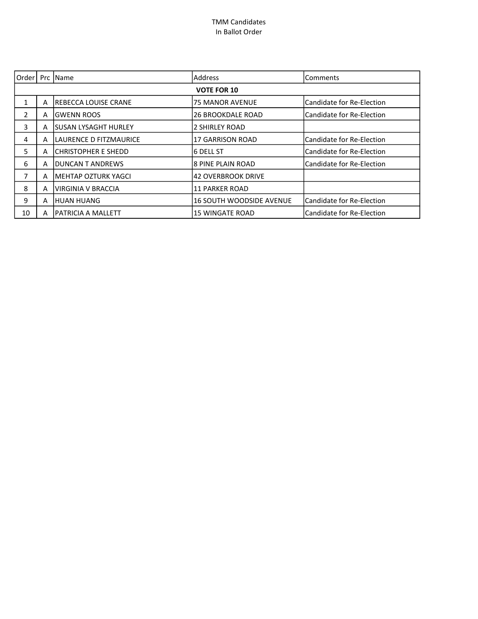| Order          |                    | Prc IName                    | <b>Address</b>                  | lComments                  |  |  |
|----------------|--------------------|------------------------------|---------------------------------|----------------------------|--|--|
|                | <b>VOTE FOR 10</b> |                              |                                 |                            |  |  |
| 1              | A                  | <b>IREBECCA LOUISE CRANE</b> | <b>75 MANOR AVENUE</b>          | Candidate for Re-Election  |  |  |
| $\mathfrak{p}$ | А                  | GWENN ROOS                   | <b>26 BROOKDALE ROAD</b>        | Candidate for Re-Election  |  |  |
| 3              | А                  | <b>ISUSAN LYSAGHT HURLEY</b> | 2 SHIRLEY ROAD                  |                            |  |  |
| 4              | А                  | LAURENCE D FITZMAURICE       | 17 GARRISON ROAD                | lCandidate for Re-Election |  |  |
| 5              | A                  | ICHRISTOPHER E SHEDD         | 16 DELL ST                      | Candidate for Re-Election  |  |  |
| 6              | А                  | DUNCAN T ANDREWS             | l8 PINE PLAIN ROAD              | Candidate for Re-Election  |  |  |
| 7              | A                  | İMEHTAP OZTURK YAGCI         | 142 OVERBROOK DRIVE             |                            |  |  |
| 8              | A                  | VIRGINIA V BRACCIA           | <b>11 PARKER ROAD</b>           |                            |  |  |
| 9              | А                  | IHUAN HUANG                  | <b>16 SOUTH WOODSIDE AVENUE</b> | lCandidate for Re-Election |  |  |
| 10             | А                  | IPATRICIA A MALLETT          | <b>15 WINGATE ROAD</b>          | Candidate for Re-Election  |  |  |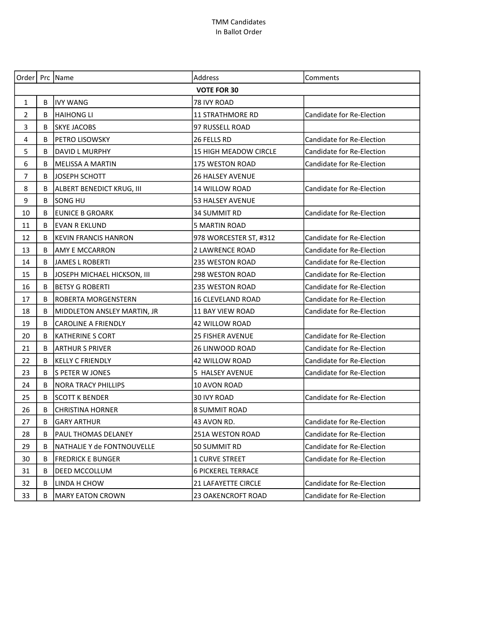| Order   Prc   Name |                    |                             | Address                    | Comments                  |  |  |
|--------------------|--------------------|-----------------------------|----------------------------|---------------------------|--|--|
|                    | <b>VOTE FOR 30</b> |                             |                            |                           |  |  |
| $\mathbf{1}$       | B                  | <b>IVY WANG</b>             | 78 IVY ROAD                |                           |  |  |
| $\overline{2}$     | B                  | <b>HAIHONG LI</b>           | <b>11 STRATHMORE RD</b>    | Candidate for Re-Election |  |  |
| 3                  | B                  | <b>SKYE JACOBS</b>          | 97 RUSSELL ROAD            |                           |  |  |
| 4                  | B                  | PETRO LISOWSKY              | 26 FELLS RD                | Candidate for Re-Election |  |  |
| 5                  | B                  | <b>DAVID L MURPHY</b>       | 15 HIGH MEADOW CIRCLE      | Candidate for Re-Election |  |  |
| 6                  | B                  | <b>MELISSA A MARTIN</b>     | <b>175 WESTON ROAD</b>     | Candidate for Re-Election |  |  |
| $\overline{7}$     | B                  | JOSEPH SCHOTT               | <b>26 HALSEY AVENUE</b>    |                           |  |  |
| 8                  | B                  | ALBERT BENEDICT KRUG, III   | 14 WILLOW ROAD             | Candidate for Re-Election |  |  |
| 9                  | B                  | lsong hu                    | 53 HALSEY AVENUE           |                           |  |  |
| 10                 | B                  | <b>EUNICE B GROARK</b>      | 34 SUMMIT RD               | Candidate for Re-Election |  |  |
| 11                 | B                  | <b>EVAN R EKLUND</b>        | <b>5 MARTIN ROAD</b>       |                           |  |  |
| 12                 | B                  | <b>KEVIN FRANCIS HANRON</b> | 978 WORCESTER ST, #312     | Candidate for Re-Election |  |  |
| 13                 | B                  | AMY E MCCARRON              | <b>2 LAWRENCE ROAD</b>     | Candidate for Re-Election |  |  |
| 14                 | B                  | JAMES L ROBERTI             | 235 WESTON ROAD            | Candidate for Re-Election |  |  |
| 15                 | B                  | JOSEPH MICHAEL HICKSON, III | <b>298 WESTON ROAD</b>     | Candidate for Re-Election |  |  |
| 16                 | B                  | <b>BETSY G ROBERTI</b>      | <b>235 WESTON ROAD</b>     | Candidate for Re-Election |  |  |
| 17                 | B                  | ROBERTA MORGENSTERN         | <b>16 CLEVELAND ROAD</b>   | Candidate for Re-Election |  |  |
| 18                 | B                  | MIDDLETON ANSLEY MARTIN, JR | 11 BAY VIEW ROAD           | Candidate for Re-Election |  |  |
| 19                 | B                  | <b>CAROLINE A FRIENDLY</b>  | 42 WILLOW ROAD             |                           |  |  |
| 20                 | B                  | <b>KATHERINE S CORT</b>     | <b>25 FISHER AVENUE</b>    | Candidate for Re-Election |  |  |
| 21                 | B                  | ARTHUR S PRIVER             | <b>26 LINWOOD ROAD</b>     | Candidate for Re-Election |  |  |
| 22                 | B                  | <b>KELLY C FRIENDLY</b>     | 42 WILLOW ROAD             | Candidate for Re-Election |  |  |
| 23                 | B                  | S PETER W JONES             | 5 HALSEY AVENUE            | Candidate for Re-Election |  |  |
| 24                 | B                  | <b>NORA TRACY PHILLIPS</b>  | 10 AVON ROAD               |                           |  |  |
| 25                 | B                  | SCOTT K BENDER              | 30 IVY ROAD                | Candidate for Re-Election |  |  |
| 26                 | B                  | <b>CHRISTINA HORNER</b>     | <b>8 SUMMIT ROAD</b>       |                           |  |  |
| 27                 | B                  | <b>GARY ARTHUR</b>          | 43 AVON RD.                | Candidate for Re-Election |  |  |
| 28                 | B                  | PAUL THOMAS DELANEY         | 251A WESTON ROAD           | Candidate for Re-Election |  |  |
| 29                 | B                  | NATHALIE Y de FONTNOUVELLE  | 50 SUMMIT RD               | Candidate for Re-Election |  |  |
| 30                 | B                  | <b>FREDRICK E BUNGER</b>    | <b>1 CURVE STREET</b>      | Candidate for Re-Election |  |  |
| 31                 | B                  | DEED MCCOLLUM               | <b>6 PICKEREL TERRACE</b>  |                           |  |  |
| 32                 | B                  | LINDA H CHOW                | <b>21 LAFAYETTE CIRCLE</b> | Candidate for Re-Election |  |  |
| 33                 | B                  | <b>MARY EATON CROWN</b>     | <b>23 OAKENCROFT ROAD</b>  | Candidate for Re-Election |  |  |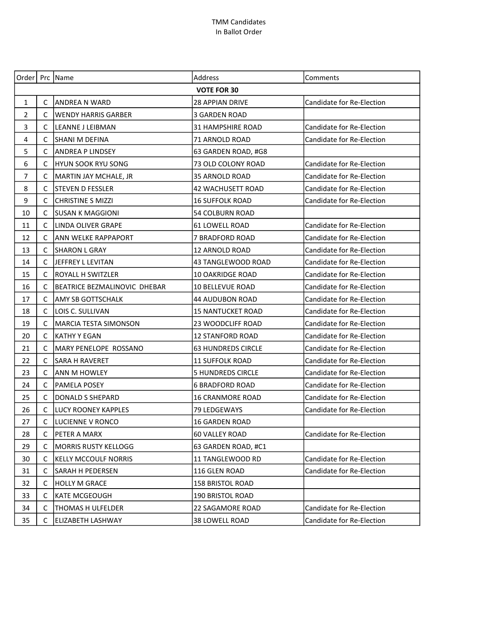| Order                   |                    | Prc Name                            | <b>Address</b>            | Comments                         |  |
|-------------------------|--------------------|-------------------------------------|---------------------------|----------------------------------|--|
|                         | <b>VOTE FOR 30</b> |                                     |                           |                                  |  |
| 1                       | C                  | ANDREA N WARD                       | 28 APPIAN DRIVE           | Candidate for Re-Election        |  |
| $\overline{2}$          | C                  | <b>WENDY HARRIS GARBER</b>          | <b>3 GARDEN ROAD</b>      |                                  |  |
| 3                       | C                  | LEANNE J LEIBMAN                    | <b>31 HAMPSHIRE ROAD</b>  | Candidate for Re-Election        |  |
| $\overline{\mathbf{4}}$ | C                  | SHANI M DEFINA                      | 71 ARNOLD ROAD            | Candidate for Re-Election        |  |
| 5                       | C                  | <b>ANDREA P LINDSEY</b>             | 63 GARDEN ROAD, #G8       |                                  |  |
| 6                       | C                  | HYUN SOOK RYU SONG                  | 73 OLD COLONY ROAD        | Candidate for Re-Election        |  |
| $\overline{7}$          | C                  | MARTIN JAY MCHALE, JR               | 35 ARNOLD ROAD            | Candidate for Re-Election        |  |
| 8                       | C                  | STEVEN D FESSLER                    | 42 WACHUSETT ROAD         | Candidate for Re-Election        |  |
| 9                       | C                  | <b>CHRISTINE S MIZZI</b>            | <b>16 SUFFOLK ROAD</b>    | Candidate for Re-Election        |  |
| 10                      | C                  | SUSAN K MAGGIONI                    | 54 COLBURN ROAD           |                                  |  |
| 11                      | C                  | LINDA OLIVER GRAPE                  | 61 LOWELL ROAD            | Candidate for Re-Election        |  |
| 12                      | C                  | ANN WELKE RAPPAPORT                 | 7 BRADFORD ROAD           | Candidate for Re-Election        |  |
| 13                      | C                  | SHARON L GRAY                       | <b>12 ARNOLD ROAD</b>     | Candidate for Re-Election        |  |
| 14                      | C                  | JEFFREY L LEVITAN                   | 43 TANGLEWOOD ROAD        | Candidate for Re-Election        |  |
| 15                      | C                  | <b>ROYALL H SWITZLER</b>            | <b>10 OAKRIDGE ROAD</b>   | Candidate for Re-Election        |  |
| 16                      | C                  | <b>BEATRICE BEZMALINOVIC DHEBAR</b> | 10 BELLEVUE ROAD          | Candidate for Re-Election        |  |
| 17                      | C                  | AMY SB GOTTSCHALK                   | <b>44 AUDUBON ROAD</b>    | Candidate for Re-Election        |  |
| 18                      | C                  | LOIS C. SULLIVAN                    | <b>15 NANTUCKET ROAD</b>  | Candidate for Re-Election        |  |
| 19                      | C                  | <b>MARCIA TESTA SIMONSON</b>        | <b>23 WOODCLIFF ROAD</b>  | Candidate for Re-Election        |  |
| 20                      | $\mathsf{C}$       | <b>KATHY Y EGAN</b>                 | <b>12 STANFORD ROAD</b>   | Candidate for Re-Election        |  |
| 21                      | C                  | MARY PENELOPE ROSSANO               | <b>63 HUNDREDS CIRCLE</b> | Candidate for Re-Election        |  |
| 22                      | C                  | <b>SARA H RAVERET</b>               | 11 SUFFOLK ROAD           | Candidate for Re-Election        |  |
| 23                      | C                  | <b>ANN M HOWLEY</b>                 | <b>5 HUNDREDS CIRCLE</b>  | Candidate for Re-Election        |  |
| 24                      | C                  | PAMELA POSEY                        | <b>6 BRADFORD ROAD</b>    | <b>Candidate for Re-Election</b> |  |
| 25                      | C                  | DONALD S SHEPARD                    | <b>16 CRANMORE ROAD</b>   | Candidate for Re-Election        |  |
| 26                      | C                  | LUCY ROONEY KAPPLES                 | 79 LEDGEWAYS              | Candidate for Re-Election        |  |
| 27                      |                    | LUCIENNE V RONCO                    | 16 GARDEN ROAD            |                                  |  |
| 28                      | C                  | PETER A MARX                        | 60 VALLEY ROAD            | Candidate for Re-Election        |  |
| 29                      | C                  | <b>MORRIS RUSTY KELLOGG</b>         | 63 GARDEN ROAD, #C1       |                                  |  |
| 30                      | C                  | <b>KELLY MCCOULF NORRIS</b>         | 11 TANGLEWOOD RD          | Candidate for Re-Election        |  |
| 31                      | C                  | SARAH H PEDERSEN                    | 116 GLEN ROAD             | Candidate for Re-Election        |  |
| 32                      | C                  | <b>HOLLY M GRACE</b>                | <b>158 BRISTOL ROAD</b>   |                                  |  |
| 33                      | C                  | <b>KATE MCGEOUGH</b>                | 190 BRISTOL ROAD          |                                  |  |
| 34                      | C                  | <b>THOMAS H ULFELDER</b>            | 22 SAGAMORE ROAD          | Candidate for Re-Election        |  |
| 35                      | C                  | <b>ELIZABETH LASHWAY</b>            | 38 LOWELL ROAD            | Candidate for Re-Election        |  |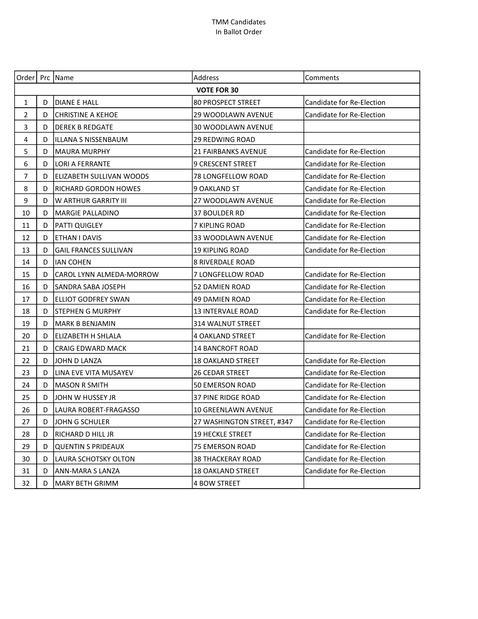|                |                    | Order   Prc   Name           | Address                    | Comments                         |  |  |
|----------------|--------------------|------------------------------|----------------------------|----------------------------------|--|--|
|                | <b>VOTE FOR 30</b> |                              |                            |                                  |  |  |
| $\mathbf{1}$   | D                  | <b>DIANE E HALL</b>          | <b>80 PROSPECT STREET</b>  | Candidate for Re-Election        |  |  |
| $\overline{2}$ | D                  | <b>CHRISTINE A KEHOE</b>     | 29 WOODLAWN AVENUE         | Candidate for Re-Election        |  |  |
| 3              | D                  | <b>DEREK B REDGATE</b>       | <b>30 WOODLAWN AVENUE</b>  |                                  |  |  |
| 4              | D                  | ILLANA S NISSENBAUM          | 29 REDWING ROAD            |                                  |  |  |
| 5              | D                  | MAURA MURPHY                 | <b>21 FAIRBANKS AVENUE</b> | Candidate for Re-Election        |  |  |
| 6              | D                  | LORI A FERRANTE              | 9 CRESCENT STREET          | Candidate for Re-Election        |  |  |
| $\overline{7}$ | D                  | ELIZABETH SULLIVAN WOODS     | 78 LONGFELLOW ROAD         | Candidate for Re-Election        |  |  |
| 8              | D                  | <b>RICHARD GORDON HOWES</b>  | 9 OAKLAND ST               | Candidate for Re-Election        |  |  |
| 9              | D                  | W ARTHUR GARRITY III         | 27 WOODLAWN AVENUE         | Candidate for Re-Election        |  |  |
| 10             | D                  | MARGIE PALLADINO             | 37 BOULDER RD              | Candidate for Re-Election        |  |  |
| 11             | D                  | PATTI QUIGLEY                | 7 KIPLING ROAD             | <b>Candidate for Re-Election</b> |  |  |
| 12             | D                  | <b>ETHAN I DAVIS</b>         | 33 WOODLAWN AVENUE         | Candidate for Re-Election        |  |  |
| 13             | D                  | <b>GAIL FRANCES SULLIVAN</b> | <b>19 KIPLING ROAD</b>     | Candidate for Re-Election        |  |  |
| 14             | D                  | <b>IAN COHEN</b>             | <b>8 RIVERDALE ROAD</b>    |                                  |  |  |
| 15             | D                  | CAROL LYNN ALMEDA-MORROW     | 7 LONGFELLOW ROAD          | Candidate for Re-Election        |  |  |
| 16             | D                  | SANDRA SABA JOSEPH           | 52 DAMIEN ROAD             | Candidate for Re-Election        |  |  |
| 17             | D                  | ELLIOT GODFREY SWAN          | 49 DAMIEN ROAD             | Candidate for Re-Election        |  |  |
| 18             | D                  | STEPHEN G MURPHY             | <b>13 INTERVALE ROAD</b>   | Candidate for Re-Election        |  |  |
| 19             | D                  | <b>MARK B BENJAMIN</b>       | <b>314 WALNUT STREET</b>   |                                  |  |  |
| 20             | D                  | ELIZABETH H SHLALA           | <b>4 OAKLAND STREET</b>    | Candidate for Re-Election        |  |  |
| 21             | D                  | <b>CRAIG EDWARD MACK</b>     | <b>14 BANCROFT ROAD</b>    |                                  |  |  |
| 22             | D                  | JOHN D LANZA                 | <b>18 OAKLAND STREET</b>   | Candidate for Re-Election        |  |  |
| 23             | D                  | LINA EVE VITA MUSAYEV        | 26 CEDAR STREET            | Candidate for Re-Election        |  |  |
| 24             | D                  | <b>MASON R SMITH</b>         | <b>50 EMERSON ROAD</b>     | Candidate for Re-Election        |  |  |
| 25             | D                  | JJOHN W HUSSEY JR            | <b>37 PINE RIDGE ROAD</b>  | Candidate for Re-Election        |  |  |
| 26             | D                  | LAURA ROBERT-FRAGASSO        | <b>10 GREENLAWN AVENUE</b> | Candidate for Re-Election        |  |  |
| 27             | D                  | JOHN G SCHULER               | 27 WASHINGTON STREET, #347 | Candidate for Re-Election        |  |  |
| 28             | D                  | RICHARD D HILL JR            | <b>19 HECKLE STREET</b>    | Candidate for Re-Election        |  |  |
| 29             | D                  | <b>QUENTIN S PRIDEAUX</b>    | 75 EMERSON ROAD            | Candidate for Re-Election        |  |  |
| 30             | D                  | LAURA SCHOTSKY OLTON         | <b>38 THACKERAY ROAD</b>   | Candidate for Re-Election        |  |  |
| 31             | D                  | <b>ANN-MARA S LANZA</b>      | <b>18 OAKLAND STREET</b>   | Candidate for Re-Election        |  |  |
| 32             | D                  | <b>MARY BETH GRIMM</b>       | <b>4 BOW STREET</b>        |                                  |  |  |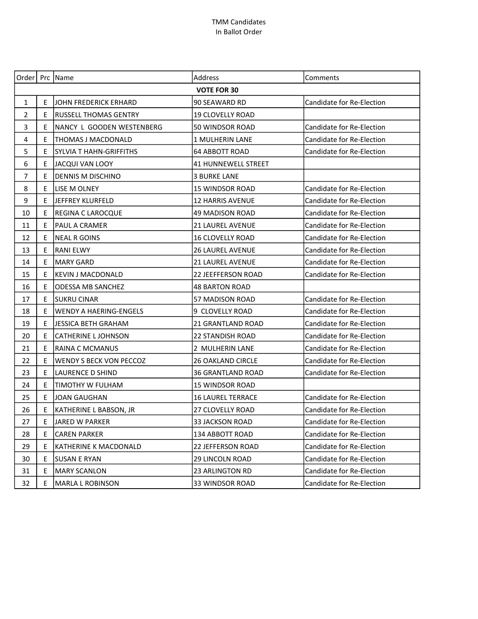|                         |                    | Order   Prc   Name           | Address                    | Comments                  |  |  |
|-------------------------|--------------------|------------------------------|----------------------------|---------------------------|--|--|
|                         | <b>VOTE FOR 30</b> |                              |                            |                           |  |  |
| 1                       | E                  | JOHN FREDERICK ERHARD        | 90 SEAWARD RD              | Candidate for Re-Election |  |  |
| $\overline{2}$          | E                  | <b>RUSSELL THOMAS GENTRY</b> | <b>19 CLOVELLY ROAD</b>    |                           |  |  |
| 3                       | E                  | NANCY L GOODEN WESTENBERG    | 50 WINDSOR ROAD            | Candidate for Re-Election |  |  |
| $\overline{\mathbf{4}}$ | E                  | THOMAS J MACDONALD           | <b>1 MULHERIN LANE</b>     | Candidate for Re-Election |  |  |
| 5                       | E                  | SYLVIA T HAHN-GRIFFITHS      | <b>64 ABBOTT ROAD</b>      | Candidate for Re-Election |  |  |
| 6                       | E                  | JACQUI VAN LOOY              | <b>41 HUNNEWELL STREET</b> |                           |  |  |
| $\overline{7}$          | E                  | <b>DENNIS M DISCHINO</b>     | <b>3 BURKE LANE</b>        |                           |  |  |
| 8                       | E                  | LISE M OLNEY                 | <b>15 WINDSOR ROAD</b>     | Candidate for Re-Election |  |  |
| 9                       | E                  | JEFFREY KLURFELD             | <b>12 HARRIS AVENUE</b>    | Candidate for Re-Election |  |  |
| 10                      | E                  | REGINA C LAROCQUE            | 49 MADISON ROAD            | Candidate for Re-Election |  |  |
| 11                      | Ε                  | <b>PAUL A CRAMER</b>         | <b>21 LAUREL AVENUE</b>    | Candidate for Re-Election |  |  |
| 12                      | E                  | NEAL R GOINS                 | <b>16 CLOVELLY ROAD</b>    | Candidate for Re-Election |  |  |
| 13                      | E.                 | <b>RANI ELWY</b>             | <b>26 LAUREL AVENUE</b>    | Candidate for Re-Election |  |  |
| 14                      | E                  | <b>MARY GARD</b>             | <b>21 LAUREL AVENUE</b>    | Candidate for Re-Election |  |  |
| 15                      | E                  | <b>KEVIN J MACDONALD</b>     | 22 JEEFFERSON ROAD         | Candidate for Re-Election |  |  |
| 16                      | E                  | <b>ODESSA MB SANCHEZ</b>     | <b>48 BARTON ROAD</b>      |                           |  |  |
| 17                      | E                  | <b>SUKRU CINAR</b>           | 57 MADISON ROAD            | Candidate for Re-Election |  |  |
| 18                      | E                  | WENDY A HAERING-ENGELS       | 9 CLOVELLY ROAD            | Candidate for Re-Election |  |  |
| 19                      | E                  | <b>JESSICA BETH GRAHAM</b>   | 21 GRANTLAND ROAD          | Candidate for Re-Election |  |  |
| 20                      | E                  | <b>CATHERINE L JOHNSON</b>   | <b>22 STANDISH ROAD</b>    | Candidate for Re-Election |  |  |
| 21                      | E                  | RAINA C MCMANUS              | 2 MULHERIN LANE            | Candidate for Re-Election |  |  |
| 22                      | E                  | WENDY S BECK VON PECCOZ      | <b>26 OAKLAND CIRCLE</b>   | Candidate for Re-Election |  |  |
| 23                      | Е                  | <b>LAURENCE D SHIND</b>      | <b>36 GRANTLAND ROAD</b>   | Candidate for Re-Election |  |  |
| 24                      | E                  | TIMOTHY W FULHAM             | <b>15 WINDSOR ROAD</b>     |                           |  |  |
| 25                      | E                  | JOAN GAUGHAN                 | <b>16 LAUREL TERRACE</b>   | Candidate for Re-Election |  |  |
| 26                      | E                  | KATHERINE L BABSON, JR       | 27 CLOVELLY ROAD           | Candidate for Re-Election |  |  |
| 27                      | Ε                  | JARED W PARKER               | 33 JACKSON ROAD            | Candidate for Re-Election |  |  |
| 28                      | E                  | <b>CAREN PARKER</b>          | 134 ABBOTT ROAD            | Candidate for Re-Election |  |  |
| 29                      | E                  | KATHERINE K MACDONALD        | <b>22 JEFFERSON ROAD</b>   | Candidate for Re-Election |  |  |
| 30                      | Ε                  | <b>SUSAN E RYAN</b>          | <b>29 LINCOLN ROAD</b>     | Candidate for Re-Election |  |  |
| 31                      | Е                  | <b>MARY SCANLON</b>          | <b>23 ARLINGTON RD</b>     | Candidate for Re-Election |  |  |
| 32                      | E                  | <b>MARLA L ROBINSON</b>      | <b>33 WINDSOR ROAD</b>     | Candidate for Re-Election |  |  |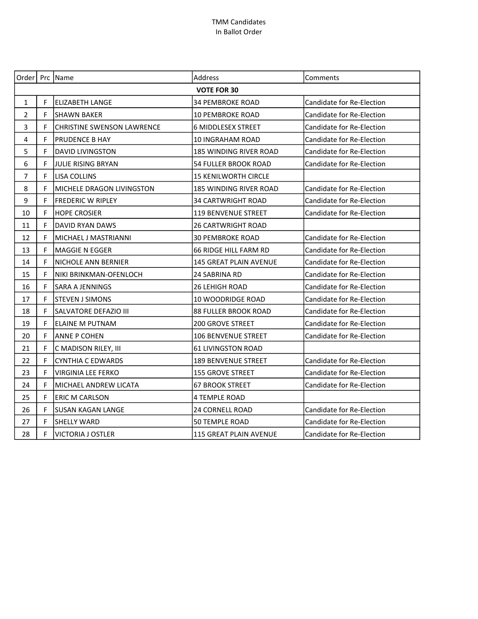| Order   Prc   Name |                    |                                   | Address                     | Comments                         |  |
|--------------------|--------------------|-----------------------------------|-----------------------------|----------------------------------|--|
|                    | <b>VOTE FOR 30</b> |                                   |                             |                                  |  |
| $\mathbf{1}$       | F                  | <b>ELIZABETH LANGE</b>            | <b>34 PEMBROKE ROAD</b>     | Candidate for Re-Election        |  |
| $\overline{2}$     | F                  | <b>SHAWN BAKER</b>                | <b>10 PEMBROKE ROAD</b>     | Candidate for Re-Election        |  |
| 3                  | F                  | <b>CHRISTINE SWENSON LAWRENCE</b> | <b>6 MIDDLESEX STREET</b>   | Candidate for Re-Election        |  |
| 4                  | F                  | <b>PRUDENCE B HAY</b>             | 10 INGRAHAM ROAD            | <b>Candidate for Re-Election</b> |  |
| 5                  | F                  | <b>DAVID LIVINGSTON</b>           | 185 WINDING RIVER ROAD      | Candidate for Re-Election        |  |
| 6                  | F                  | JULIE RISING BRYAN                | 54 FULLER BROOK ROAD        | Candidate for Re-Election        |  |
| $\overline{7}$     | F                  | <b>LISA COLLINS</b>               | <b>15 KENILWORTH CIRCLE</b> |                                  |  |
| 8                  | F                  | MICHELE DRAGON LIVINGSTON         | 185 WINDING RIVER ROAD      | <b>Candidate for Re-Election</b> |  |
| 9                  | F                  | <b>FREDERIC W RIPLEY</b>          | 34 CARTWRIGHT ROAD          | Candidate for Re-Election        |  |
| 10                 | F                  | <b>HOPE CROSIER</b>               | 119 BENVENUE STREET         | Candidate for Re-Election        |  |
| 11                 | F                  | DAVID RYAN DAWS                   | <b>26 CARTWRIGHT ROAD</b>   |                                  |  |
| 12                 | F                  | MICHAEL J MASTRIANNI              | <b>30 PEMBROKE ROAD</b>     | Candidate for Re-Election        |  |
| 13                 | F                  | <b>MAGGIE N EGGER</b>             | 66 RIDGE HILL FARM RD       | Candidate for Re-Election        |  |
| 14                 | F                  | NICHOLE ANN BERNIER               | 145 GREAT PLAIN AVENUE      | Candidate for Re-Election        |  |
| 15                 | F                  | NIKI BRINKMAN-OFENLOCH            | 24 SABRINA RD               | Candidate for Re-Election        |  |
| 16                 | F                  | <b>SARA A JENNINGS</b>            | 26 LEHIGH ROAD              | Candidate for Re-Election        |  |
| 17                 | F                  | <b>STEVEN J SIMONS</b>            | 10 WOODRIDGE ROAD           | Candidate for Re-Election        |  |
| 18                 | F                  | SALVATORE DEFAZIO III             | 88 FULLER BROOK ROAD        | Candidate for Re-Election        |  |
| 19                 | F                  | <b>ELAINE M PUTNAM</b>            | <b>200 GROVE STREET</b>     | Candidate for Re-Election        |  |
| 20                 | F                  | <b>ANNE P COHEN</b>               | 106 BENVENUE STREET         | Candidate for Re-Election        |  |
| 21                 | F                  | C MADISON RILEY, III              | 61 LIVINGSTON ROAD          |                                  |  |
| 22                 | F                  | <b>CYNTHIA C EDWARDS</b>          | <b>189 BENVENUE STREET</b>  | Candidate for Re-Election        |  |
| 23                 | F                  | <b>VIRGINIA LEE FERKO</b>         | 155 GROVE STREET            | Candidate for Re-Election        |  |
| 24                 | F                  | MICHAEL ANDREW LICATA             | <b>67 BROOK STREET</b>      | Candidate for Re-Election        |  |
| 25                 | F                  | <b>ERIC M CARLSON</b>             | 4 TEMPLE ROAD               |                                  |  |
| 26                 | F                  | <b>SUSAN KAGAN LANGE</b>          | 24 CORNELL ROAD             | Candidate for Re-Election        |  |
| 27                 | F                  | SHELLY WARD                       | 50 TEMPLE ROAD              | <b>Candidate for Re-Election</b> |  |
| 28                 | F                  | <b>VICTORIA J OSTLER</b>          | 115 GREAT PLAIN AVENUE      | Candidate for Re-Election        |  |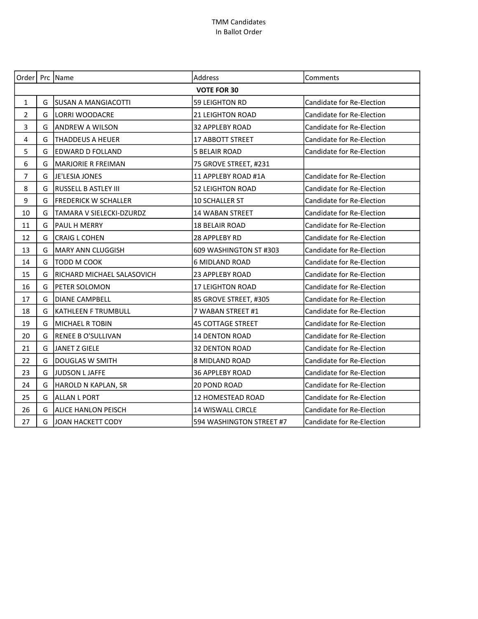|                         |                    | Order   Prc   Name          | Address                  | Comments                         |  |  |
|-------------------------|--------------------|-----------------------------|--------------------------|----------------------------------|--|--|
|                         | <b>VOTE FOR 30</b> |                             |                          |                                  |  |  |
| $\mathbf{1}$            | G                  | <b>SUSAN A MANGIACOTTI</b>  | 59 LEIGHTON RD           | Candidate for Re-Election        |  |  |
| $\overline{2}$          | G                  | LORRI WOODACRE              | <b>21 LEIGHTON ROAD</b>  | Candidate for Re-Election        |  |  |
| 3                       | G                  | <b>ANDREW A WILSON</b>      | <b>32 APPLEBY ROAD</b>   | Candidate for Re-Election        |  |  |
| $\overline{\mathbf{4}}$ | G                  | <b>THADDEUS A HEUER</b>     | 17 ABBOTT STREET         | Candidate for Re-Election        |  |  |
| 5                       | G                  | EDWARD D FOLLAND            | <b>5 BELAIR ROAD</b>     | Candidate for Re-Election        |  |  |
| 6                       | G                  | MARJORIE R FREIMAN          | 75 GROVE STREET, #231    |                                  |  |  |
| $\overline{7}$          | G                  | JE'LESIA JONES              | 11 APPLEBY ROAD #1A      | Candidate for Re-Election        |  |  |
| 8                       | G                  | RUSSELL B ASTLEY III        | <b>52 LEIGHTON ROAD</b>  | Candidate for Re-Election        |  |  |
| 9                       | G                  | <b>FREDERICK W SCHALLER</b> | <b>10 SCHALLER ST</b>    | Candidate for Re-Election        |  |  |
| 10                      | G                  | TAMARA V SIELECKI-DZURDZ    | 14 WABAN STREET          | Candidate for Re-Election        |  |  |
| 11                      | G                  | PAUL H MERRY                | <b>18 BELAIR ROAD</b>    | Candidate for Re-Election        |  |  |
| 12                      | G                  | <b>CRAIG L COHEN</b>        | 28 APPLEBY RD            | Candidate for Re-Election        |  |  |
| 13                      | G                  | MARY ANN CLUGGISH           | 609 WASHINGTON ST #303   | Candidate for Re-Election        |  |  |
| 14                      | G                  | TODD M COOK                 | <b>6 MIDLAND ROAD</b>    | Candidate for Re-Election        |  |  |
| 15                      | G                  | RICHARD MICHAEL SALASOVICH  | 23 APPLEBY ROAD          | Candidate for Re-Election        |  |  |
| 16                      | G                  | PETER SOLOMON               | <b>17 LEIGHTON ROAD</b>  | Candidate for Re-Election        |  |  |
| 17                      | G                  | <b>DIANE CAMPBELL</b>       | 85 GROVE STREET, #305    | Candidate for Re-Election        |  |  |
| 18                      | G                  | <b>KATHLEEN F TRUMBULL</b>  | 7 WABAN STREET #1        | Candidate for Re-Election        |  |  |
| 19                      | G                  | MICHAEL R TOBIN             | <b>45 COTTAGE STREET</b> | <b>Candidate for Re-Election</b> |  |  |
| 20                      | G                  | <b>RENEE B O'SULLIVAN</b>   | <b>14 DENTON ROAD</b>    | Candidate for Re-Election        |  |  |
| 21                      | G                  | JANET Z GIELE               | <b>32 DENTON ROAD</b>    | Candidate for Re-Election        |  |  |
| 22                      | G                  | <b>DOUGLAS W SMITH</b>      | 8 MIDLAND ROAD           | Candidate for Re-Election        |  |  |
| 23                      | G                  | JUDSON L JAFFE              | <b>36 APPLEBY ROAD</b>   | Candidate for Re-Election        |  |  |
| 24                      | G                  | HAROLD N KAPLAN, SR         | 20 POND ROAD             | Candidate for Re-Election        |  |  |
| 25                      | G                  | ALLAN L PORT                | 12 HOMESTEAD ROAD        | Candidate for Re-Election        |  |  |
| 26                      | G                  | <b>ALICE HANLON PEISCH</b>  | 14 WISWALL CIRCLE        | Candidate for Re-Election        |  |  |
| 27                      | G                  | JOAN HACKETT CODY           | 594 WASHINGTON STREET #7 | Candidate for Re-Election        |  |  |